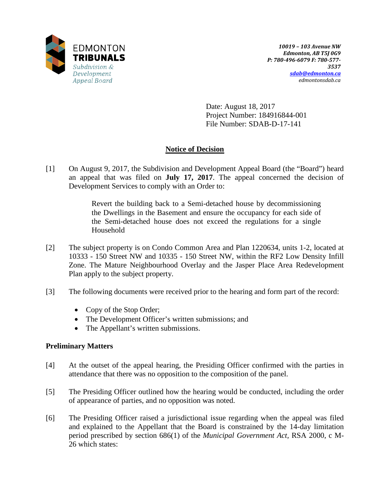

Date: August 18, 2017 Project Number: 184916844-001 File Number: SDAB-D-17-141

## **Notice of Decision**

[1] On August 9, 2017, the Subdivision and Development Appeal Board (the "Board") heard an appeal that was filed on **July 17, 2017**. The appeal concerned the decision of Development Services to comply with an Order to:

> Revert the building back to a Semi-detached house by decommissioning the Dwellings in the Basement and ensure the occupancy for each side of the Semi-detached house does not exceed the regulations for a single Household

- [2] The subject property is on Condo Common Area and Plan 1220634, units 1-2, located at 10333 - 150 Street NW and 10335 - 150 Street NW, within the RF2 Low Density Infill Zone. The Mature Neighbourhood Overlay and the Jasper Place Area Redevelopment Plan apply to the subject property.
- [3] The following documents were received prior to the hearing and form part of the record:
	- Copy of the Stop Order;
	- The Development Officer's written submissions; and
	- The Appellant's written submissions.

## **Preliminary Matters**

- [4] At the outset of the appeal hearing, the Presiding Officer confirmed with the parties in attendance that there was no opposition to the composition of the panel.
- [5] The Presiding Officer outlined how the hearing would be conducted, including the order of appearance of parties, and no opposition was noted.
- [6] The Presiding Officer raised a jurisdictional issue regarding when the appeal was filed and explained to the Appellant that the Board is constrained by the 14-day limitation period prescribed by section 686(1) of the *Municipal Government Act,* RSA 2000, c M-26 which states: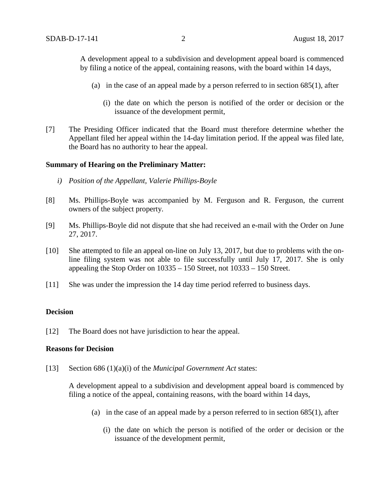A development appeal to a subdivision and development appeal board is commenced by filing a notice of the appeal, containing reasons, with the board within 14 days,

- (a) in the case of an appeal made by a person referred to in section 685(1), after
	- (i) the date on which the person is notified of the order or decision or the issuance of the development permit,
- [7] The Presiding Officer indicated that the Board must therefore determine whether the Appellant filed her appeal within the 14-day limitation period. If the appeal was filed late, the Board has no authority to hear the appeal.

#### **Summary of Hearing on the Preliminary Matter:**

- *i) Position of the Appellant, Valerie Phillips-Boyle*
- [8] Ms. Phillips-Boyle was accompanied by M. Ferguson and R. Ferguson, the current owners of the subject property.
- [9] Ms. Phillips-Boyle did not dispute that she had received an e-mail with the Order on June 27, 2017.
- [10] She attempted to file an appeal on-line on July 13, 2017, but due to problems with the online filing system was not able to file successfully until July 17, 2017. She is only appealing the Stop Order on 10335 – 150 Street, not 10333 – 150 Street.
- [11] She was under the impression the 14 day time period referred to business days.

#### **Decision**

[12] The Board does not have jurisdiction to hear the appeal.

#### **Reasons for Decision**

[13] Section 686 (1)(a)(i) of the *Municipal Government Act* states:

A development appeal to a subdivision and development appeal board is commenced by filing a notice of the appeal, containing reasons, with the board within 14 days,

- (a) in the case of an appeal made by a person referred to in section 685(1), after
	- (i) the date on which the person is notified of the order or decision or the issuance of the development permit,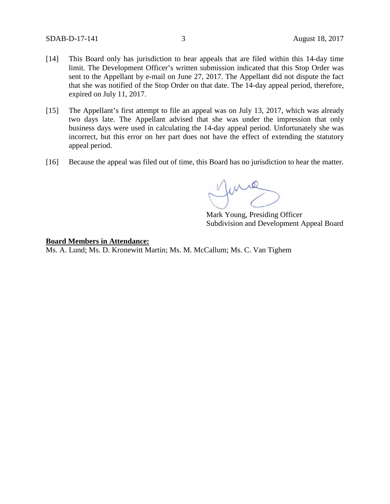- [14] This Board only has jurisdiction to hear appeals that are filed within this 14-day time limit. The Development Officer's written submission indicated that this Stop Order was sent to the Appellant by e-mail on June 27, 2017. The Appellant did not dispute the fact that she was notified of the Stop Order on that date. The 14-day appeal period, therefore, expired on July 11, 2017.
- [15] The Appellant's first attempt to file an appeal was on July 13, 2017, which was already two days late. The Appellant advised that she was under the impression that only business days were used in calculating the 14-day appeal period. Unfortunately she was incorrect, but this error on her part does not have the effect of extending the statutory appeal period.
- [16] Because the appeal was filed out of time, this Board has no jurisdiction to hear the matter.

June

Mark Young, Presiding Officer Subdivision and Development Appeal Board

## **Board Members in Attendance:**

Ms. A. Lund; Ms. D. Kronewitt Martin; Ms. M. McCallum; Ms. C. Van Tighem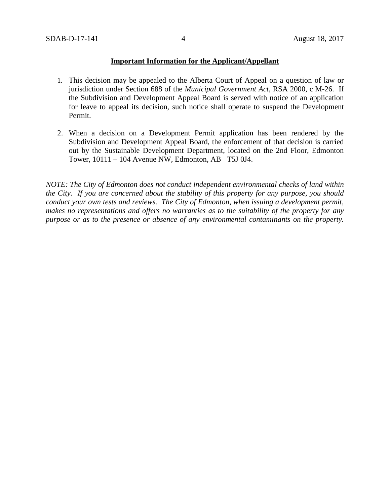## **Important Information for the Applicant/Appellant**

- 1. This decision may be appealed to the Alberta Court of Appeal on a question of law or jurisdiction under Section 688 of the *Municipal Government Act*, RSA 2000, c M-26. If the Subdivision and Development Appeal Board is served with notice of an application for leave to appeal its decision, such notice shall operate to suspend the Development Permit.
- 2. When a decision on a Development Permit application has been rendered by the Subdivision and Development Appeal Board, the enforcement of that decision is carried out by the Sustainable Development Department, located on the 2nd Floor, Edmonton Tower, 10111 – 104 Avenue NW, Edmonton, AB T5J 0J4.

*NOTE: The City of Edmonton does not conduct independent environmental checks of land within the City. If you are concerned about the stability of this property for any purpose, you should conduct your own tests and reviews. The City of Edmonton, when issuing a development permit, makes no representations and offers no warranties as to the suitability of the property for any purpose or as to the presence or absence of any environmental contaminants on the property.*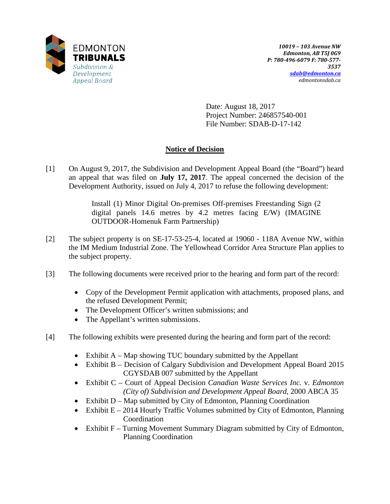

Date: August 18, 2017 Project Number: 246857540-001 File Number: SDAB-D-17-142

# **Notice of Decision**

[1] On August 9, 2017, the Subdivision and Development Appeal Board (the "Board") heard an appeal that was filed on **July 17, 2017**. The appeal concerned the decision of the Development Authority, issued on July 4, 2017 to refuse the following development:

> Install (1) Minor Digital On-premises Off-premises Freestanding Sign (2 digital panels 14.6 metres by 4.2 metres facing E/W) (IMAGINE OUTDOOR-Homenuk Farm Partnership)

- [2] The subject property is on SE-17-53-25-4, located at 19060 118A Avenue NW, within the IM Medium Industrial Zone. The Yellowhead Corridor Area Structure Plan applies to the subject property.
- [3] The following documents were received prior to the hearing and form part of the record:
	- Copy of the Development Permit application with attachments, proposed plans, and the refused Development Permit;
	- The Development Officer's written submissions; and
	- The Appellant's written submissions.
- [4] The following exhibits were presented during the hearing and form part of the record:
	- Exhibit  $A Map$  showing TUC boundary submitted by the Appellant
	- Exhibit B Decision of Calgary Subdivision and Development Appeal Board 2015 CGYSDAB 007 submitted by the Appellant
	- Exhibit C Court of Appeal Decision *Canadian Waste Services Inc.* v. *Edmonton (City of) Subdivision and Development Appeal Board*, 2000 ABCA 35
	- Exhibit D Map submitted by City of Edmonton, Planning Coordination
	- Exhibit  $E 2014$  Hourly Traffic Volumes submitted by City of Edmonton, Planning Coordination
	- Exhibit F Turning Movement Summary Diagram submitted by City of Edmonton, Planning Coordination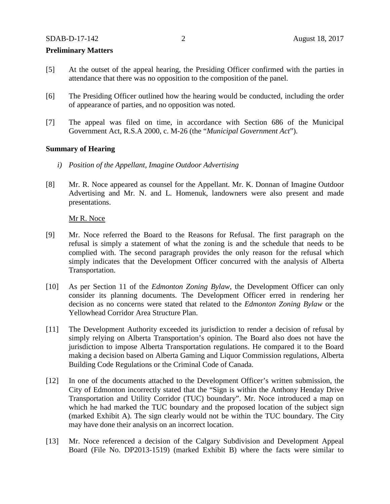#### **Preliminary Matters**

- [5] At the outset of the appeal hearing, the Presiding Officer confirmed with the parties in attendance that there was no opposition to the composition of the panel.
- [6] The Presiding Officer outlined how the hearing would be conducted, including the order of appearance of parties, and no opposition was noted.
- [7] The appeal was filed on time, in accordance with Section 686 of the Municipal Government Act, R.S.A 2000, c. M-26 (the "*Municipal Government Act*").

#### **Summary of Hearing**

- *i) Position of the Appellant, Imagine Outdoor Advertising*
- [8] Mr. R. Noce appeared as counsel for the Appellant. Mr. K. Donnan of Imagine Outdoor Advertising and Mr. N. and L. Homenuk, landowners were also present and made presentations.

Mr R. Noce

- [9] Mr. Noce referred the Board to the Reasons for Refusal. The first paragraph on the refusal is simply a statement of what the zoning is and the schedule that needs to be complied with. The second paragraph provides the only reason for the refusal which simply indicates that the Development Officer concurred with the analysis of Alberta Transportation.
- [10] As per Section 11 of the *Edmonton Zoning Bylaw*, the Development Officer can only consider its planning documents. The Development Officer erred in rendering her decision as no concerns were stated that related to the *Edmonton Zoning Bylaw* or the Yellowhead Corridor Area Structure Plan.
- [11] The Development Authority exceeded its jurisdiction to render a decision of refusal by simply relying on Alberta Transportation's opinion. The Board also does not have the jurisdiction to impose Alberta Transportation regulations. He compared it to the Board making a decision based on Alberta Gaming and Liquor Commission regulations, Alberta Building Code Regulations or the Criminal Code of Canada.
- [12] In one of the documents attached to the Development Officer's written submission, the City of Edmonton incorrectly stated that the "Sign is within the Anthony Henday Drive Transportation and Utility Corridor (TUC) boundary". Mr. Noce introduced a map on which he had marked the TUC boundary and the proposed location of the subject sign (marked Exhibit A). The sign clearly would not be within the TUC boundary. The City may have done their analysis on an incorrect location.
- [13] Mr. Noce referenced a decision of the Calgary Subdivision and Development Appeal Board (File No. DP2013-1519) (marked Exhibit B) where the facts were similar to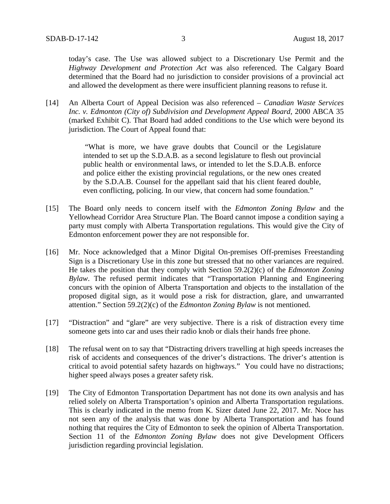today's case. The Use was allowed subject to a Discretionary Use Permit and the *Highway Development and Protection Act* was also referenced. The Calgary Board determined that the Board had no jurisdiction to consider provisions of a provincial act and allowed the development as there were insufficient planning reasons to refuse it.

[14] An Alberta Court of Appeal Decision was also referenced – *Canadian Waste Services Inc. v. Edmonton (City of) Subdivision and Development Appeal Board*, 2000 ABCA 35 (marked Exhibit C). That Board had added conditions to the Use which were beyond its jurisdiction. The Court of Appeal found that:

> "What is more, we have grave doubts that Council or the Legislature intended to set up the S.D.A.B. as a second legislature to flesh out provincial public health or environmental laws, or intended to let the S.D.A.B. enforce and police either the existing provincial regulations, or the new ones created by the S.D.A.B. Counsel for the appellant said that his client feared double, even conflicting, policing. In our view, that concern had some foundation."

- [15] The Board only needs to concern itself with the *Edmonton Zoning Bylaw* and the Yellowhead Corridor Area Structure Plan. The Board cannot impose a condition saying a party must comply with Alberta Transportation regulations. This would give the City of Edmonton enforcement power they are not responsible for.
- [16] Mr. Noce acknowledged that a Minor Digital On-premises Off-premises Freestanding Sign is a Discretionary Use in this zone but stressed that no other variances are required. He takes the position that they comply with Section 59.2(2)(c) of the *Edmonton Zoning Bylaw*. The refused permit indicates that "Transportation Planning and Engineering concurs with the opinion of Alberta Transportation and objects to the installation of the proposed digital sign, as it would pose a risk for distraction, glare, and unwarranted attention." Section 59.2(2)(c) of the *Edmonton Zoning Bylaw* is not mentioned.
- [17] "Distraction" and "glare" are very subjective. There is a risk of distraction every time someone gets into car and uses their radio knob or dials their hands free phone.
- [18] The refusal went on to say that "Distracting drivers travelling at high speeds increases the risk of accidents and consequences of the driver's distractions. The driver's attention is critical to avoid potential safety hazards on highways." You could have no distractions; higher speed always poses a greater safety risk.
- [19] The City of Edmonton Transportation Department has not done its own analysis and has relied solely on Alberta Transportation's opinion and Alberta Transportation regulations. This is clearly indicated in the memo from K. Sizer dated June 22, 2017. Mr. Noce has not seen any of the analysis that was done by Alberta Transportation and has found nothing that requires the City of Edmonton to seek the opinion of Alberta Transportation. Section 11 of the *Edmonton Zoning Bylaw* does not give Development Officers jurisdiction regarding provincial legislation.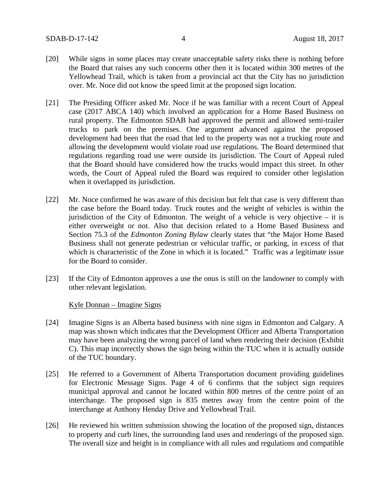- [20] While signs in some places may create unacceptable safety risks there is nothing before the Board that raises any such concerns other then it is located within 300 metres of the Yellowhead Trail, which is taken from a provincial act that the City has no jurisdiction over. Mr. Noce did not know the speed limit at the proposed sign location.
- [21] The Presiding Officer asked Mr. Noce if he was familiar with a recent Court of Appeal case (2017 ABCA 140) which involved an application for a Home Based Business on rural property. The Edmonton SDAB had approved the permit and allowed semi-trailer trucks to park on the premises. One argument advanced against the proposed development had been that the road that led to the property was not a trucking route and allowing the development would violate road use regulations. The Board determined that regulations regarding road use were outside its jurisdiction. The Court of Appeal ruled that the Board should have considered how the trucks would impact this street. In other words, the Court of Appeal ruled the Board was required to consider other legislation when it overlapped its jurisdiction.
- [22] Mr. Noce confirmed he was aware of this decision but felt that case is very different than the case before the Board today. Truck routes and the weight of vehicles is within the jurisdiction of the City of Edmonton. The weight of a vehicle is very objective  $-$  it is either overweight or not. Also that decision related to a Home Based Business and Section 75.3 of the *Edmonton Zoning Bylaw* clearly states that "the Major Home Based Business shall not generate pedestrian or vehicular traffic, or parking, in excess of that which is characteristic of the Zone in which it is located." Traffic was a legitimate issue for the Board to consider.
- [23] If the City of Edmonton approves a use the onus is still on the landowner to comply with other relevant legislation.

#### Kyle Donnan – Imagine Signs

- [24] Imagine Signs is an Alberta based business with nine signs in Edmonton and Calgary. A map was shown which indicates that the Development Officer and Alberta Transportation may have been analyzing the wrong parcel of land when rendering their decision (Exhibit C). This map incorrectly shows the sign being within the TUC when it is actually outside of the TUC boundary.
- [25] He referred to a Government of Alberta Transportation document providing guidelines for Electronic Message Signs. Page 4 of 6 confirms that the subject sign requires municipal approval and cannot be located within 800 metres of the centre point of an interchange. The proposed sign is 835 metres away from the centre point of the interchange at Anthony Henday Drive and Yellowhead Trail.
- [26] He reviewed his written submission showing the location of the proposed sign, distances to property and curb lines, the surrounding land uses and renderings of the proposed sign. The overall size and height is in compliance with all rules and regulations and compatible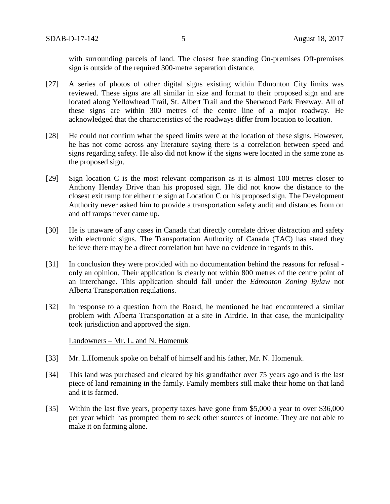with surrounding parcels of land. The closest free standing On-premises Off-premises sign is outside of the required 300-metre separation distance.

- [27] A series of photos of other digital signs existing within Edmonton City limits was reviewed. These signs are all similar in size and format to their proposed sign and are located along Yellowhead Trail, St. Albert Trail and the Sherwood Park Freeway. All of these signs are within 300 metres of the centre line of a major roadway. He acknowledged that the characteristics of the roadways differ from location to location.
- [28] He could not confirm what the speed limits were at the location of these signs. However, he has not come across any literature saying there is a correlation between speed and signs regarding safety. He also did not know if the signs were located in the same zone as the proposed sign.
- [29] Sign location C is the most relevant comparison as it is almost 100 metres closer to Anthony Henday Drive than his proposed sign. He did not know the distance to the closest exit ramp for either the sign at Location C or his proposed sign. The Development Authority never asked him to provide a transportation safety audit and distances from on and off ramps never came up.
- [30] He is unaware of any cases in Canada that directly correlate driver distraction and safety with electronic signs. The Transportation Authority of Canada (TAC) has stated they believe there may be a direct correlation but have no evidence in regards to this.
- [31] In conclusion they were provided with no documentation behind the reasons for refusal only an opinion. Their application is clearly not within 800 metres of the centre point of an interchange. This application should fall under the *Edmonton Zoning Bylaw* not Alberta Transportation regulations.
- [32] In response to a question from the Board, he mentioned he had encountered a similar problem with Alberta Transportation at a site in Airdrie. In that case, the municipality took jurisdiction and approved the sign.

## Landowners – Mr. L. and N. Homenuk

- [33] Mr. L.Homenuk spoke on behalf of himself and his father, Mr. N. Homenuk.
- [34] This land was purchased and cleared by his grandfather over 75 years ago and is the last piece of land remaining in the family. Family members still make their home on that land and it is farmed.
- [35] Within the last five years, property taxes have gone from \$5,000 a year to over \$36,000 per year which has prompted them to seek other sources of income. They are not able to make it on farming alone.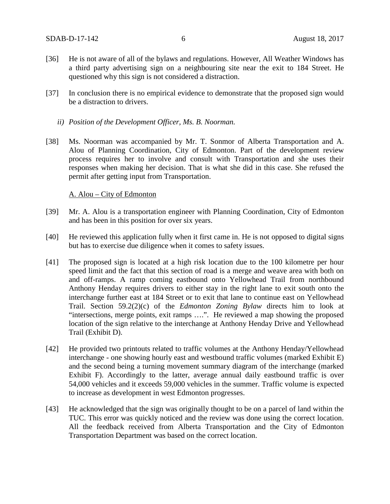- [36] He is not aware of all of the bylaws and regulations. However, All Weather Windows has a third party advertising sign on a neighbouring site near the exit to 184 Street. He questioned why this sign is not considered a distraction.
- [37] In conclusion there is no empirical evidence to demonstrate that the proposed sign would be a distraction to drivers.
	- *ii) Position of the Development Officer, Ms. B. Noorman.*
- [38] Ms. Noorman was accompanied by Mr. T. Sonmor of Alberta Transportation and A. Alou of Planning Coordination, City of Edmonton. Part of the development review process requires her to involve and consult with Transportation and she uses their responses when making her decision. That is what she did in this case. She refused the permit after getting input from Transportation.

#### A. Alou – City of Edmonton

- [39] Mr. A. Alou is a transportation engineer with Planning Coordination, City of Edmonton and has been in this position for over six years.
- [40] He reviewed this application fully when it first came in. He is not opposed to digital signs but has to exercise due diligence when it comes to safety issues.
- [41] The proposed sign is located at a high risk location due to the 100 kilometre per hour speed limit and the fact that this section of road is a merge and weave area with both on and off-ramps. A ramp coming eastbound onto Yellowhead Trail from northbound Anthony Henday requires drivers to either stay in the right lane to exit south onto the interchange further east at 184 Street or to exit that lane to continue east on Yellowhead Trail. Section 59.2(2)(c) of the *Edmonton Zoning Bylaw* directs him to look at "intersections, merge points, exit ramps ….". He reviewed a map showing the proposed location of the sign relative to the interchange at Anthony Henday Drive and Yellowhead Trail (Exhibit D).
- [42] He provided two printouts related to traffic volumes at the Anthony Henday/Yellowhead interchange - one showing hourly east and westbound traffic volumes (marked Exhibit E) and the second being a turning movement summary diagram of the interchange (marked Exhibit F). Accordingly to the latter, average annual daily eastbound traffic is over 54,000 vehicles and it exceeds 59,000 vehicles in the summer. Traffic volume is expected to increase as development in west Edmonton progresses.
- [43] He acknowledged that the sign was originally thought to be on a parcel of land within the TUC. This error was quickly noticed and the review was done using the correct location. All the feedback received from Alberta Transportation and the City of Edmonton Transportation Department was based on the correct location.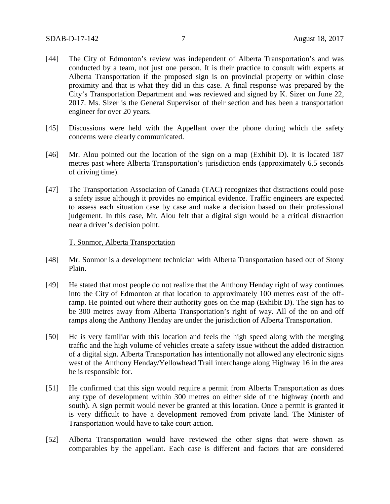- [44] The City of Edmonton's review was independent of Alberta Transportation's and was conducted by a team, not just one person. It is their practice to consult with experts at Alberta Transportation if the proposed sign is on provincial property or within close proximity and that is what they did in this case. A final response was prepared by the City's Transportation Department and was reviewed and signed by K. Sizer on June 22, 2017. Ms. Sizer is the General Supervisor of their section and has been a transportation engineer for over 20 years.
- [45] Discussions were held with the Appellant over the phone during which the safety concerns were clearly communicated.
- [46] Mr. Alou pointed out the location of the sign on a map (Exhibit D). It is located 187 metres past where Alberta Transportation's jurisdiction ends (approximately 6.5 seconds of driving time).
- [47] The Transportation Association of Canada (TAC) recognizes that distractions could pose a safety issue although it provides no empirical evidence. Traffic engineers are expected to assess each situation case by case and make a decision based on their professional judgement. In this case, Mr. Alou felt that a digital sign would be a critical distraction near a driver's decision point.

#### T. Sonmor, Alberta Transportation

- [48] Mr. Sonmor is a development technician with Alberta Transportation based out of Stony Plain.
- [49] He stated that most people do not realize that the Anthony Henday right of way continues into the City of Edmonton at that location to approximately 100 metres east of the offramp. He pointed out where their authority goes on the map (Exhibit D). The sign has to be 300 metres away from Alberta Transportation's right of way. All of the on and off ramps along the Anthony Henday are under the jurisdiction of Alberta Transportation.
- [50] He is very familiar with this location and feels the high speed along with the merging traffic and the high volume of vehicles create a safety issue without the added distraction of a digital sign. Alberta Transportation has intentionally not allowed any electronic signs west of the Anthony Henday/Yellowhead Trail interchange along Highway 16 in the area he is responsible for.
- [51] He confirmed that this sign would require a permit from Alberta Transportation as does any type of development within 300 metres on either side of the highway (north and south). A sign permit would never be granted at this location. Once a permit is granted it is very difficult to have a development removed from private land. The Minister of Transportation would have to take court action.
- [52] Alberta Transportation would have reviewed the other signs that were shown as comparables by the appellant. Each case is different and factors that are considered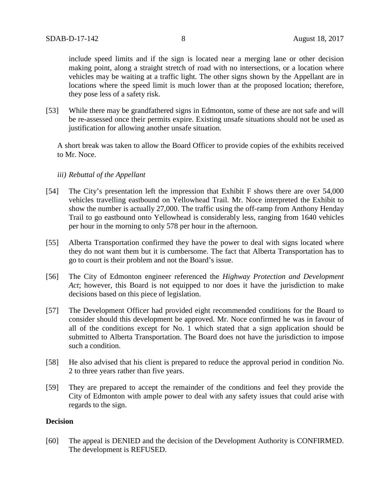include speed limits and if the sign is located near a merging lane or other decision making point, along a straight stretch of road with no intersections, or a location where vehicles may be waiting at a traffic light. The other signs shown by the Appellant are in locations where the speed limit is much lower than at the proposed location; therefore, they pose less of a safety risk.

[53] While there may be grandfathered signs in Edmonton, some of these are not safe and will be re-assessed once their permits expire. Existing unsafe situations should not be used as justification for allowing another unsafe situation.

A short break was taken to allow the Board Officer to provide copies of the exhibits received to Mr. Noce.

#### *iii) Rebuttal of the Appellant*

- [54] The City's presentation left the impression that Exhibit F shows there are over 54,000 vehicles travelling eastbound on Yellowhead Trail. Mr. Noce interpreted the Exhibit to show the number is actually 27,000. The traffic using the off-ramp from Anthony Henday Trail to go eastbound onto Yellowhead is considerably less, ranging from 1640 vehicles per hour in the morning to only 578 per hour in the afternoon.
- [55] Alberta Transportation confirmed they have the power to deal with signs located where they do not want them but it is cumbersome. The fact that Alberta Transportation has to go to court is their problem and not the Board's issue.
- [56] The City of Edmonton engineer referenced the *Highway Protection and Development Act*; however, this Board is not equipped to nor does it have the jurisdiction to make decisions based on this piece of legislation.
- [57] The Development Officer had provided eight recommended conditions for the Board to consider should this development be approved. Mr. Noce confirmed he was in favour of all of the conditions except for No. 1 which stated that a sign application should be submitted to Alberta Transportation. The Board does not have the jurisdiction to impose such a condition.
- [58] He also advised that his client is prepared to reduce the approval period in condition No. 2 to three years rather than five years.
- [59] They are prepared to accept the remainder of the conditions and feel they provide the City of Edmonton with ample power to deal with any safety issues that could arise with regards to the sign.

## **Decision**

[60] The appeal is DENIED and the decision of the Development Authority is CONFIRMED. The development is REFUSED.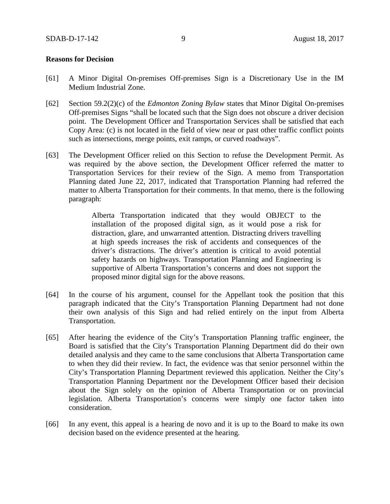#### **Reasons for Decision**

- [61] A Minor Digital On-premises Off-premises Sign is a Discretionary Use in the IM Medium Industrial Zone.
- [62] Section 59.2(2)(c) of the *Edmonton Zoning Bylaw* states that Minor Digital On-premises Off-premises Signs "shall be located such that the Sign does not obscure a driver decision point. The Development Officer and Transportation Services shall be satisfied that each Copy Area: (c) is not located in the field of view near or past other traffic conflict points such as intersections, merge points, exit ramps, or curved roadways".
- [63] The Development Officer relied on this Section to refuse the Development Permit. As was required by the above section, the Development Officer referred the matter to Transportation Services for their review of the Sign. A memo from Transportation Planning dated June 22, 2017, indicated that Transportation Planning had referred the matter to Alberta Transportation for their comments. In that memo, there is the following paragraph:

Alberta Transportation indicated that they would OBJECT to the installation of the proposed digital sign, as it would pose a risk for distraction, glare, and unwarranted attention. Distracting drivers travelling at high speeds increases the risk of accidents and consequences of the driver's distractions. The driver's attention is critical to avoid potential safety hazards on highways. Transportation Planning and Engineering is supportive of Alberta Transportation's concerns and does not support the proposed minor digital sign for the above reasons.

- [64] In the course of his argument, counsel for the Appellant took the position that this paragraph indicated that the City's Transportation Planning Department had not done their own analysis of this Sign and had relied entirely on the input from Alberta Transportation.
- [65] After hearing the evidence of the City's Transportation Planning traffic engineer, the Board is satisfied that the City's Transportation Planning Department did do their own detailed analysis and they came to the same conclusions that Alberta Transportation came to when they did their review. In fact, the evidence was that senior personnel within the City's Transportation Planning Department reviewed this application. Neither the City's Transportation Planning Department nor the Development Officer based their decision about the Sign solely on the opinion of Alberta Transportation or on provincial legislation. Alberta Transportation's concerns were simply one factor taken into consideration.
- [66] In any event, this appeal is a hearing de novo and it is up to the Board to make its own decision based on the evidence presented at the hearing.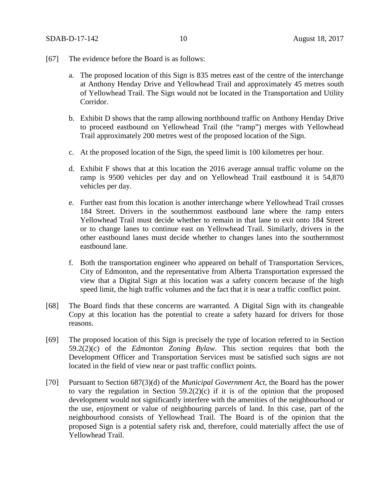- [67] The evidence before the Board is as follows:
	- a. The proposed location of this Sign is 835 metres east of the centre of the interchange at Anthony Henday Drive and Yellowhead Trail and approximately 45 metres south of Yellowhead Trail. The Sign would not be located in the Transportation and Utility Corridor.
	- b. Exhibit D shows that the ramp allowing northbound traffic on Anthony Henday Drive to proceed eastbound on Yellowhead Trail (the "ramp") merges with Yellowhead Trail approximately 200 metres west of the proposed location of the Sign.
	- c. At the proposed location of the Sign, the speed limit is 100 kilometres per hour.
	- d. Exhibit F shows that at this location the 2016 average annual traffic volume on the ramp is 9500 vehicles per day and on Yellowhead Trail eastbound it is 54,870 vehicles per day.
	- e. Further east from this location is another interchange where Yellowhead Trail crosses 184 Street. Drivers in the southernmost eastbound lane where the ramp enters Yellowhead Trail must decide whether to remain in that lane to exit onto 184 Street or to change lanes to continue east on Yellowhead Trail. Similarly, drivers in the other eastbound lanes must decide whether to changes lanes into the southernmost eastbound lane.
	- f. Both the transportation engineer who appeared on behalf of Transportation Services, City of Edmonton, and the representative from Alberta Transportation expressed the view that a Digital Sign at this location was a safety concern because of the high speed limit, the high traffic volumes and the fact that it is near a traffic conflict point.
- [68] The Board finds that these concerns are warranted. A Digital Sign with its changeable Copy at this location has the potential to create a safety hazard for drivers for those reasons.
- [69] The proposed location of this Sign is precisely the type of location referred to in Section 59.2(2)(c) of the *Edmonton Zoning Bylaw.* This section requires that both the Development Officer and Transportation Services must be satisfied such signs are not located in the field of view near or past traffic conflict points.
- [70] Pursuant to Section 687(3)(d) of the *Municipal Government Act*, the Board has the power to vary the regulation in Section  $59.2(2)(c)$  if it is of the opinion that the proposed development would not significantly interfere with the amenities of the neighbourhood or the use, enjoyment or value of neighbouring parcels of land. In this case, part of the neighbourhood consists of Yellowhead Trail. The Board is of the opinion that the proposed Sign is a potential safety risk and, therefore, could materially affect the use of Yellowhead Trail.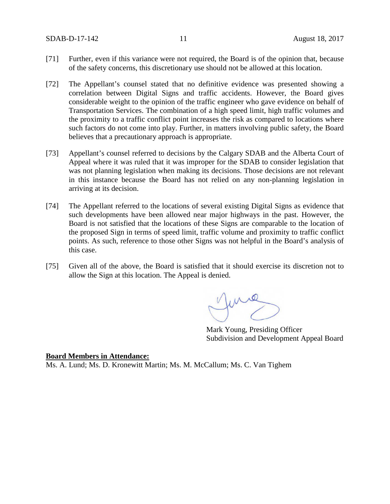SDAB-D-17-142 11 August 18, 2017

- [71] Further, even if this variance were not required, the Board is of the opinion that, because of the safety concerns, this discretionary use should not be allowed at this location.
- [72] The Appellant's counsel stated that no definitive evidence was presented showing a correlation between Digital Signs and traffic accidents. However, the Board gives considerable weight to the opinion of the traffic engineer who gave evidence on behalf of Transportation Services. The combination of a high speed limit, high traffic volumes and the proximity to a traffic conflict point increases the risk as compared to locations where such factors do not come into play. Further, in matters involving public safety, the Board believes that a precautionary approach is appropriate.
- [73] Appellant's counsel referred to decisions by the Calgary SDAB and the Alberta Court of Appeal where it was ruled that it was improper for the SDAB to consider legislation that was not planning legislation when making its decisions. Those decisions are not relevant in this instance because the Board has not relied on any non-planning legislation in arriving at its decision.
- [74] The Appellant referred to the locations of several existing Digital Signs as evidence that such developments have been allowed near major highways in the past. However, the Board is not satisfied that the locations of these Signs are comparable to the location of the proposed Sign in terms of speed limit, traffic volume and proximity to traffic conflict points. As such, reference to those other Signs was not helpful in the Board's analysis of this case.
- [75] Given all of the above, the Board is satisfied that it should exercise its discretion not to allow the Sign at this location. The Appeal is denied.

Mark Young, Presiding Officer Subdivision and Development Appeal Board

## **Board Members in Attendance:**

Ms. A. Lund; Ms. D. Kronewitt Martin; Ms. M. McCallum; Ms. C. Van Tighem